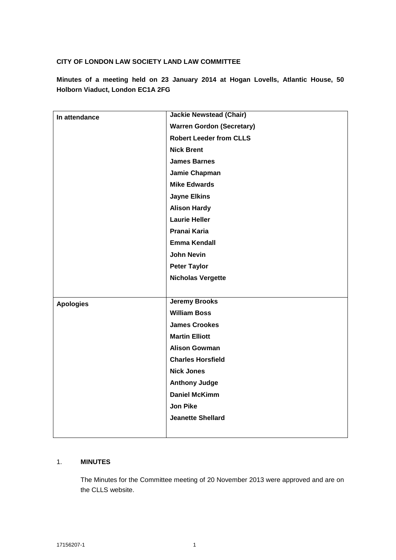## **CITY OF LONDON LAW SOCIETY LAND LAW COMMITTEE**

**Minutes of a meeting held on 23 January 2014 at Hogan Lovells, Atlantic House, 50 Holborn Viaduct, London EC1A 2FG**

| In attendance    | <b>Jackie Newstead (Chair)</b>   |
|------------------|----------------------------------|
|                  | <b>Warren Gordon (Secretary)</b> |
|                  | <b>Robert Leeder from CLLS</b>   |
|                  | <b>Nick Brent</b>                |
|                  | <b>James Barnes</b>              |
|                  | Jamie Chapman                    |
|                  | <b>Mike Edwards</b>              |
|                  | <b>Jayne Elkins</b>              |
|                  | <b>Alison Hardy</b>              |
|                  | <b>Laurie Heller</b>             |
|                  | Pranai Karia                     |
|                  | <b>Emma Kendall</b>              |
|                  | <b>John Nevin</b>                |
|                  | <b>Peter Taylor</b>              |
|                  | <b>Nicholas Vergette</b>         |
|                  |                                  |
| <b>Apologies</b> | <b>Jeremy Brooks</b>             |
|                  | <b>William Boss</b>              |
|                  | <b>James Crookes</b>             |
|                  | <b>Martin Elliott</b>            |
|                  | <b>Alison Gowman</b>             |
|                  | <b>Charles Horsfield</b>         |
|                  | <b>Nick Jones</b>                |
|                  | <b>Anthony Judge</b>             |
|                  | <b>Daniel McKimm</b>             |
|                  | <b>Jon Pike</b>                  |
|                  | <b>Jeanette Shellard</b>         |
|                  |                                  |

### 1. **MINUTES**

The Minutes for the Committee meeting of 20 November 2013 were approved and are on the CLLS website.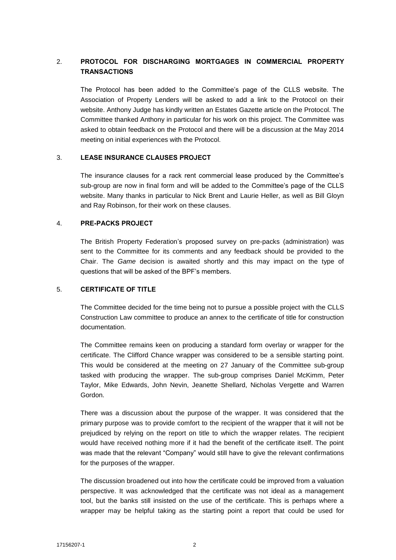# 2. **PROTOCOL FOR DISCHARGING MORTGAGES IN COMMERCIAL PROPERTY TRANSACTIONS**

The Protocol has been added to the Committee's page of the CLLS website. The Association of Property Lenders will be asked to add a link to the Protocol on their website. Anthony Judge has kindly written an Estates Gazette article on the Protocol. The Committee thanked Anthony in particular for his work on this project. The Committee was asked to obtain feedback on the Protocol and there will be a discussion at the May 2014 meeting on initial experiences with the Protocol.

### 3. **LEASE INSURANCE CLAUSES PROJECT**

The insurance clauses for a rack rent commercial lease produced by the Committee's sub-group are now in final form and will be added to the Committee's page of the CLLS website. Many thanks in particular to Nick Brent and Laurie Heller, as well as Bill Gloyn and Ray Robinson, for their work on these clauses.

#### 4. **PRE-PACKS PROJECT**

The British Property Federation's proposed survey on pre-packs (administration) was sent to the Committee for its comments and any feedback should be provided to the Chair. The *Game* decision is awaited shortly and this may impact on the type of questions that will be asked of the BPF's members.

#### 5. **CERTIFICATE OF TITLE**

The Committee decided for the time being not to pursue a possible project with the CLLS Construction Law committee to produce an annex to the certificate of title for construction documentation.

The Committee remains keen on producing a standard form overlay or wrapper for the certificate. The Clifford Chance wrapper was considered to be a sensible starting point. This would be considered at the meeting on 27 January of the Committee sub-group tasked with producing the wrapper. The sub-group comprises Daniel McKimm, Peter Taylor, Mike Edwards, John Nevin, Jeanette Shellard, Nicholas Vergette and Warren Gordon.

There was a discussion about the purpose of the wrapper. It was considered that the primary purpose was to provide comfort to the recipient of the wrapper that it will not be prejudiced by relying on the report on title to which the wrapper relates. The recipient would have received nothing more if it had the benefit of the certificate itself. The point was made that the relevant "Company" would still have to give the relevant confirmations for the purposes of the wrapper.

The discussion broadened out into how the certificate could be improved from a valuation perspective. It was acknowledged that the certificate was not ideal as a management tool, but the banks still insisted on the use of the certificate. This is perhaps where a wrapper may be helpful taking as the starting point a report that could be used for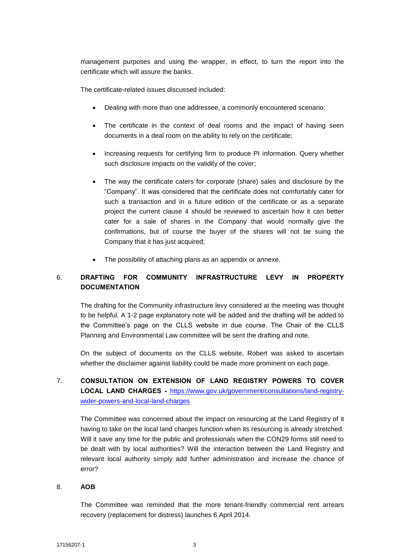management purposes and using the wrapper, in effect, to turn the report into the certificate which will assure the banks.

The certificate-related issues discussed included:

- Dealing with more than one addressee, a commonly encountered scenario;
- The certificate in the context of deal rooms and the impact of having seen documents in a deal room on the ability to rely on the certificate;
- Increasing requests for certifying firm to produce PI information. Query whether such disclosure impacts on the validity of the cover;
- The way the certificate caters for corporate (share) sales and disclosure by the "Company". It was considered that the certificate does not comfortably cater for such a transaction and in a future edition of the certificate or as a separate project the current clause 4 should be reviewed to ascertain how it can better cater for a sale of shares in the Company that would normally give the confirmations, but of course the buyer of the shares will not be suing the Company that it has just acquired;
- The possibility of attaching plans as an appendix or annexe.

# 6. **DRAFTING FOR COMMUNITY INFRASTRUCTURE LEVY IN PROPERTY DOCUMENTATION**

The drafting for the Community infrastructure levy considered at the meeting was thought to be helpful. A 1-2 page explanatory note will be added and the drafting will be added to the Committee's page on the CLLS website in due course. The Chair of the CLLS Planning and Environmental Law committee will be sent the drafting and note.

On the subject of documents on the CLLS website, Robert was asked to ascertain whether the disclaimer against liability could be made more prominent on each page.

# 7. **CONSULTATION ON EXTENSION OF LAND REGISTRY POWERS TO COVER LOCAL LAND CHARGES -** [https://www.gov.uk/government/consultations/land-registry](https://www.gov.uk/government/consultations/land-registry-wider-powers-and-local-land-charges)[wider-powers-and-local-land-charges](https://www.gov.uk/government/consultations/land-registry-wider-powers-and-local-land-charges)

The Committee was concerned about the impact on resourcing at the Land Registry of it having to take on the local land charges function when its resourcing is already stretched. Will it save any time for the public and professionals when the CON29 forms still need to be dealt with by local authorities? Will the interaction between the Land Registry and relevant local authority simply add further administration and increase the chance of error?

### 8. **AOB**

The Committee was reminded that the more tenant-friendly commercial rent arrears recovery (replacement for distress) launches 6 April 2014.